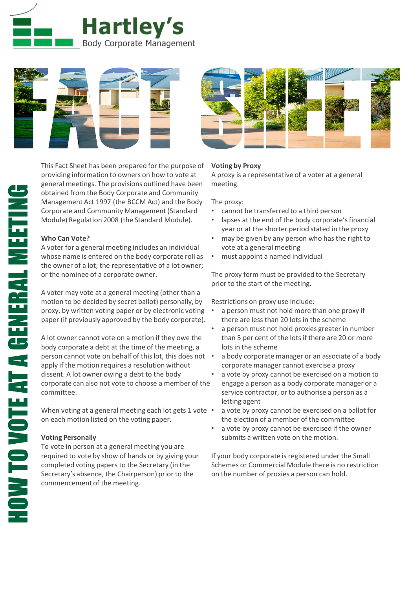



This Fact Sheet has been prepared for the purpose of providing information to owners on how to vote at general meetings. The provisions outlined have been obtained from the Body Corporate and Community Management Act 1997 (the BCCM Act) and the Body Corporate and Community Management (Standard Module) Regulation 2008 (the Standard Module).

## **Who Can Vote?**

A voter for a general meeting includes an individual whose name is entered on the body corporate roll as the owner of a lot; the representative of a lot owner; or the nominee of a corporate owner.

A voter may vote at a general meeting (other than a motion to be decided by secret ballot) personally, by proxy, by written voting paper or by electronic voting paper (if previously approved by the body corporate).

A lot owner cannot vote on a motion if they owe the body corporate a debt at the time of the meeting, a person cannot vote on behalf of this lot, this does not apply if the motion requires a resolution without dissent. A lot owner owing a debt to the body corporate can also not vote to choose a member of the committee.

When voting at a general meeting each lot gets 1 vote  $\cdot$ on each motion listed on the voting paper.

## **Voting Personally**

To vote in person at a general meeting you are required to vote by show of hands or by giving your completed voting papers to the Secretary (in the Secretary's absence, the Chairperson) prior to the commencement of the meeting.

# **Voting by Proxy**

A proxy is a representative of a voter at a general meeting.

The proxy:

- cannot be transferred to a third person
- lapses at the end of the body corporate's financial year or at the shorter period stated in the proxy
- may be given by any person who has the right to vote at a general meeting
- must appoint a named individual

The proxy form must be provided to the Secretary prior to the start of the meeting.

Restrictions on proxy use include:

- a person must not hold more than one proxy if there are less than 20 lots in the scheme
- a person must not hold proxies greater in number than 5 per cent of the lots if there are 20 or more lots in the scheme
- a body corporate manager or an associate of a body corporate manager cannot exercise a proxy
- a vote by proxy cannot be exercised on a motion to engage a person as a body corporate manager or a service contractor, or to authorise a person as a letting agent
- a vote by proxy cannot be exercised on a ballot for the election of a member of the committee
- a vote by proxy cannot be exercised if the owner submits a written vote on the motion.

If your body corporate is registered under the Small Schemes or Commercial Module there is no restriction on the number of proxies a person can hold.